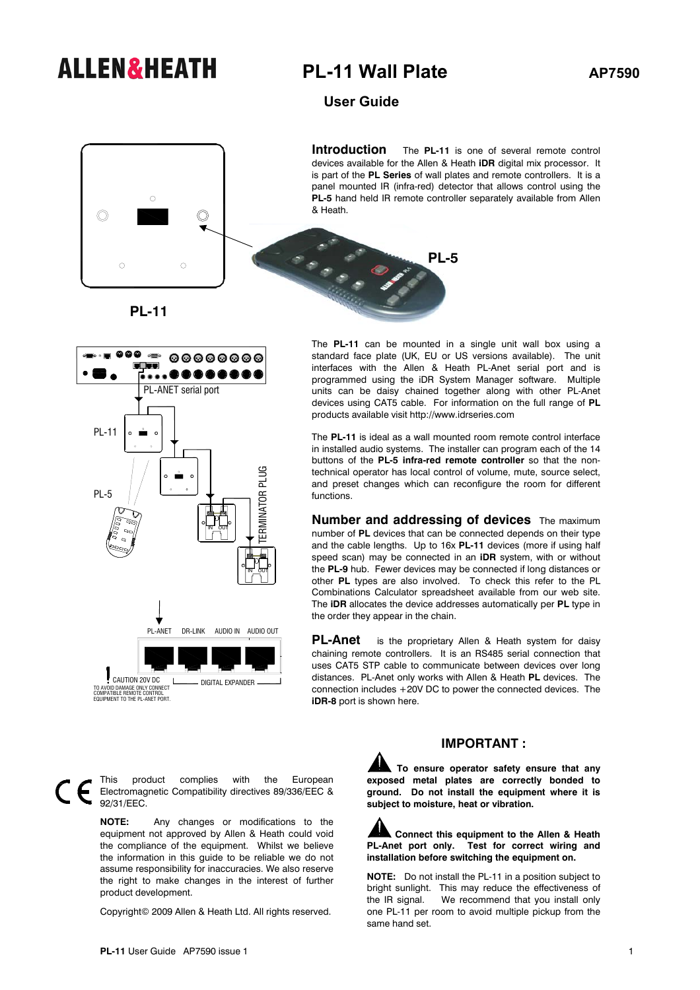## **ALLEN&HEATH** PL-11 Wall Plate AP7590

 **User Guide** 



**Introduction** The **PL-11** is one of several remote control devices available for the Allen & Heath **iDR** digital mix processor. It is part of the **PL Series** of wall plates and remote controllers. It is a panel mounted IR (infra-red) detector that allows control using the **PL-5** hand held IR remote controller separately available from Allen & Heath.

**PL-5** 

**PL-11** 



The **PL-11** can be mounted in a single unit wall box using a standard face plate (UK, EU or US versions available). The unit interfaces with the Allen & Heath PL-Anet serial port and is programmed using the iDR System Manager software. Multiple units can be daisy chained together along with other PL-Anet devices using CAT5 cable. For information on the full range of **PL** products available visit http://www.idrseries.com

The **PL-11** is ideal as a wall mounted room remote control interface in installed audio systems. The installer can program each of the 14 buttons of the **PL-5 infra-red remote controller** so that the nontechnical operator has local control of volume, mute, source select, and preset changes which can reconfigure the room for different functions.

**Number and addressing of devices** The maximum number of **PL** devices that can be connected depends on their type and the cable lengths. Up to 16x **PL-11** devices (more if using half speed scan) may be connected in an **iDR** system, with or without the **PL-9** hub. Fewer devices may be connected if long distances or other **PL** types are also involved. To check this refer to the PL Combinations Calculator spreadsheet available from our web site. The **iDR** allocates the device addresses automatically per **PL** type in the order they appear in the chain.

**PL-Anet** is the proprietary Allen & Heath system for daisy chaining remote controllers. It is an RS485 serial connection that uses CAT5 STP cable to communicate between devices over long distances. PL-Anet only works with Allen & Heath **PL** devices. The connection includes +20V DC to power the connected devices. The **iDR-8** port is shown here.



This product complies with the European Electromagnetic Compatibility directives 89/336/EEC & 92/31/EEC.

**NOTE:** Any changes or modifications to the equipment not approved by Allen & Heath could void the compliance of the equipment. Whilst we believe the information in this guide to be reliable we do not assume responsibility for inaccuracies. We also reserve the right to make changes in the interest of further product development.

Copyright© 2009 Allen & Heath Ltd. All rights reserved.

## **IMPORTANT :**

**To ensure operator safety ensure that any exposed metal plates are correctly bonded to ground. Do not install the equipment where it is subject to moisture, heat or vibration.** 

**Connect this equipment to the Allen & Heath PL-Anet port only. Test for correct wiring and installation before switching the equipment on.** 

**NOTE:** Do not install the PL-11 in a position subject to bright sunlight. This may reduce the effectiveness of the IR signal. We recommend that you install only one PL-11 per room to avoid multiple pickup from the same hand set.